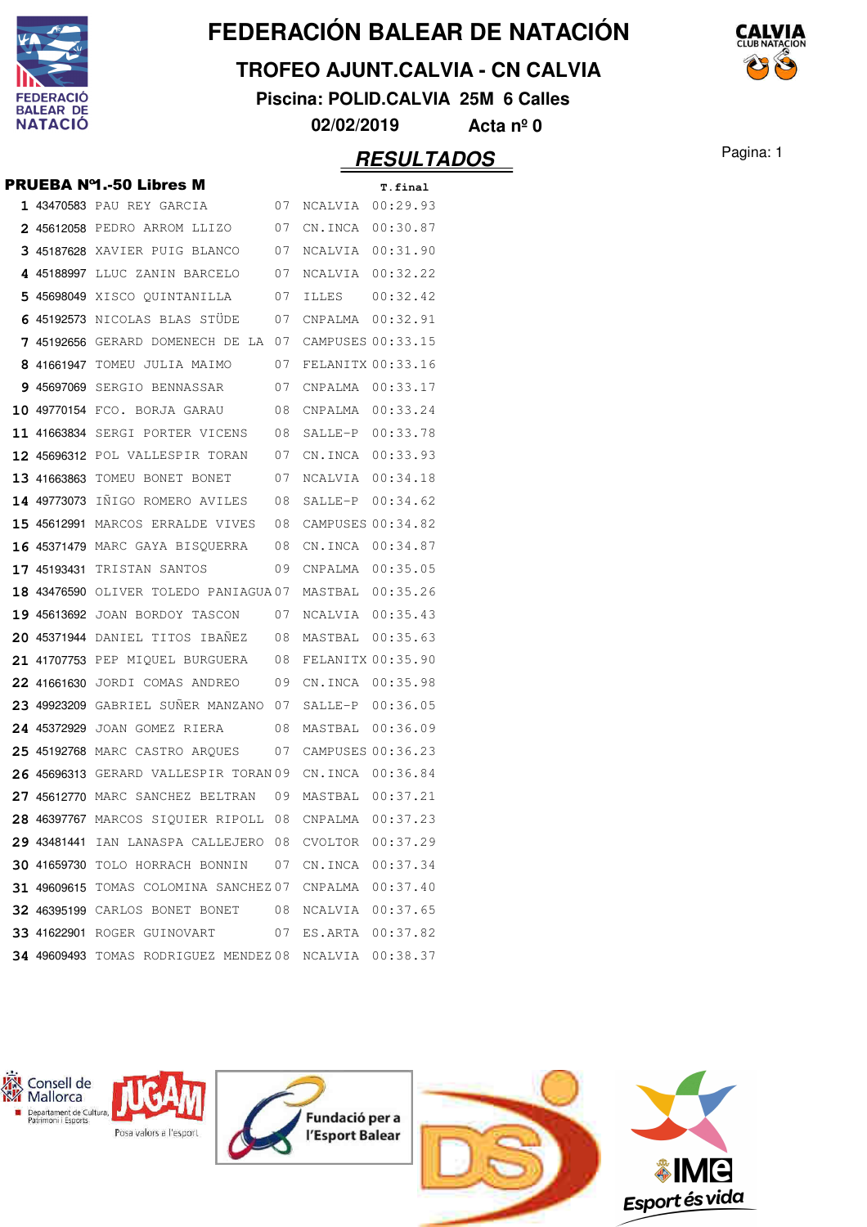

## **TROFEO AJUNT.CALVIA - CN CALVIA**

**Piscina: POLID.CALVIA 25M 6 Calles**

**02/02/2019 Acta nº 0**

|  | <b>PRUEBA Nº1.-50 Libres M</b>                        |    |                   | T.final  |
|--|-------------------------------------------------------|----|-------------------|----------|
|  | 1 43470583 PAU REY GARCIA<br>07                       |    | NCALVIA 00:29.93  |          |
|  | 2 45612058 pedro arrom llizo                          | 07 | CN.INCA           | 00:30.87 |
|  | 3 45187628 XAVIER PUIG BLANCO                         | 07 | NCALVIA           | 00:31.90 |
|  | 4 45188997 LLUC ZANIN BARCELO<br>07                   |    | NCALVIA           | 00:32.22 |
|  | 5 45698049 XISCO QUINTANILLA                          | 07 | ILLES             | 00:32.42 |
|  | 6 45192573 NICOLAS BLAS STÜDE                         | 07 | CNPALMA           | 00:32.91 |
|  | 7 45192656 GERARD DOMENECH DE LA                      | 07 | CAMPUSES 00:33.15 |          |
|  | 8 41661947 TOMEU JULIA MAIMO                          | 07 | FELANITX 00:33.16 |          |
|  | 9 45697069 SERGIO BENNASSAR                           | 07 | CNPALMA  00:33.17 |          |
|  | 10 49770154 FCO. BORJA GARAU                          | 08 | CNPALMA           | 00:33.24 |
|  | 11 41663834 SERGI PORTER VICENS 08                    |    | SALLE-P           | 00:33.78 |
|  | <b>12 45696312</b> POL VALLESPIR TORAN                | 07 | CN.INCA           | 00:33.93 |
|  | 13 41663863 TOMEU BONET BONET                         | 07 | NCALVIA           | 00:34.18 |
|  | <b>14 49773073</b> INIGO ROMERO AVILES                | 08 | SALLE-P           | 00:34.62 |
|  | 15 45612991 MARCOS ERRALDE VIVES                      | 08 | CAMPUSES 00:34.82 |          |
|  | <b>16 45371479</b> MARC GAYA BISQUERRA                | 08 | CN.INCA           | 00:34.87 |
|  | <b>17 45193431 TRISTAN SANTOS</b>                     | 09 | CNPALMA           | 00:35.05 |
|  | 18 43476590 OLIVER TOLEDO PANIAGUA 07                 |    | MASTBAL           | 00:35.26 |
|  | <b>19 45613692</b> JOAN BORDOY TASCON                 | 07 | NCALVIA 00:35.43  |          |
|  | 20 45371944 DANIEL TITOS IBANEZ 08                    |    | MASTBAL           | 00:35.63 |
|  | 21 41707753 PEP MIQUEL BURGUERA 08                    |    | FELANITX 00:35.90 |          |
|  | 22 41661630 JORDI COMAS ANDREO 09                     |    | CN.INCA           | 00:35.98 |
|  | 23 49923209 GABRIEL SUNER MANZANO 07                  |    | SALLE-P           | 00:36.05 |
|  | 24 45372929 JOAN GOMEZ RIERA                          | 08 | MASTBAL           | 00:36.09 |
|  | <b>25 45192768</b> MARC CASTRO ARQUES                 | 07 | CAMPUSES 00:36.23 |          |
|  | 26 45696313 GERARD VALLESPIR TORAN 09                 |    | CN.INCA           | 00:36.84 |
|  | 27 45612770 MARC SANCHEZ BELTRAN                      | 09 | MASTBAL           | 00:37.21 |
|  | 28 46397767 MARCOS SIQUIER RIPOLL                     | 08 | CNPALMA           | 00:37.23 |
|  | 29 43481441 IAN LANASPA CALLEJERO 08 CVOLTOR 00:37.29 |    |                   |          |
|  | 30 41659730 TOLO HORRACH BONNIN 07 CN.INCA 00:37.34   |    |                   |          |
|  | 31 49609615 TOMAS COLOMINA SANCHEZ07 CNPALMA 00:37.40 |    |                   |          |
|  | 32 46395199 CARLOS BONET BONET 08                     |    | NCALVIA 00:37.65  |          |
|  | 33 41622901 ROGER GUINOVART 07 ES.ARTA 00:37.82       |    |                   |          |
|  | 34 49609493 TOMAS RODRIGUEZ MENDEZ08 NCALVIA 00:38.37 |    |                   |          |
|  |                                                       |    |                   |          |



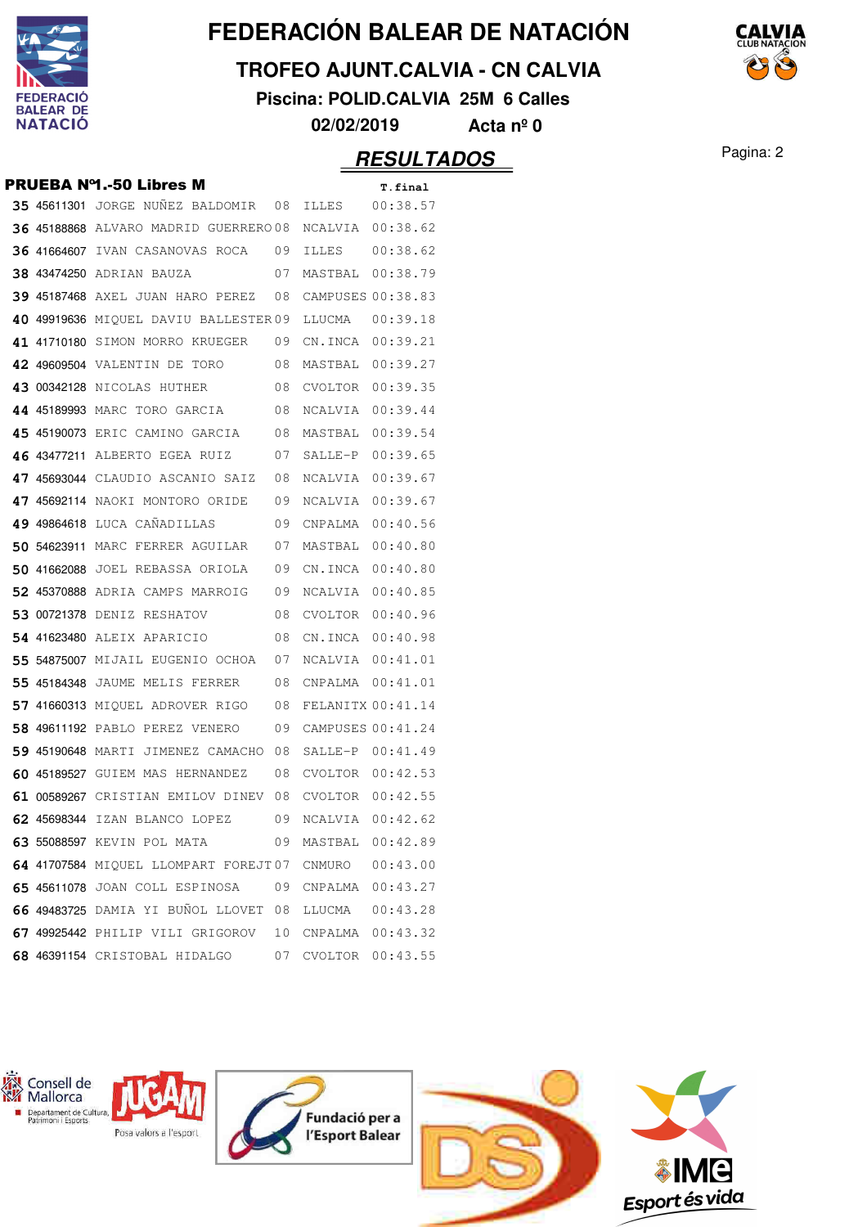

## **TROFEO AJUNT.CALVIA - CN CALVIA**

**Piscina: POLID.CALVIA 25M 6 Calles**

**02/02/2019 Acta nº 0**

## Pagina: 2 **RESULTADOS**

|             | <b>PRUEBA Nº1.-50 Libres M</b>               |    |                   | T.final  |
|-------------|----------------------------------------------|----|-------------------|----------|
|             | 35 45611301 JORGE NUÑEZ BALDOMIR 08          |    | ILLES             | 00:38.57 |
|             | <b>36 45188868 ALVARO MADRID GUERRERO 08</b> |    | NCALVIA           | 00:38.62 |
|             | 36 41664607 IVAN CASANOVAS ROCA              | 09 | ILLES             | 00:38.62 |
|             | <b>38 43474250</b> Adrian bauza              | 07 | MASTBAL           | 00:38.79 |
|             | 39 45187468 AXEL JUAN HARO PEREZ 08          |    | CAMPUSES 00:38.83 |          |
| 40 49919636 | MIQUEL DAVIU BALLESTER09                     |    | LLUCMA            | 00:39.18 |
|             | 41 41710180 SIMON MORRO KRUEGER 09           |    | CN.INCA           | 00:39.21 |
|             | 42 49609504 VALENTIN DE TORO                 | 08 | MASTBAL           | 00:39.27 |
|             | 43 00342128 NICOLAS HUTHER                   | 08 | CVOLTOR           | 00:39.35 |
|             | 44 45189993 MARC TORO GARCIA                 | 08 | NCALVIA           | 00:39.44 |
|             | <b>45 45190073</b> ERIC CAMINO GARCIA        | 08 | MASTBAL           | 00:39.54 |
|             | 46 43477211 ALBERTO EGEA RUIZ                | 07 | SALLE-P           | 00:39.65 |
|             | 47 45693044 CLAUDIO ASCANIO SAIZ             | 08 | NCALVIA           | 00:39.67 |
|             | <b>47 45692114</b> NAOKI MONTORO ORIDE       | 09 | NCALVIA           | 00:39.67 |
|             | 49 49864618 LUCA CANADILLAS                  | 09 | CNPALMA           | 00:40.56 |
|             | 50 54623911 MARC FERRER AGUILAR              | 07 | MASTBAL           | 00:40.80 |
|             | <b>50 41662088</b> Joel rebassa oriola       | 09 | CN.INCA           | 00:40.80 |
|             | <b>52 45370888</b> ADRIA CAMPS MARROIG       | 09 | NCALVIA           | 00:40.85 |
|             | <b>53 00721378</b> DENIZ RESHATOV            | 08 | CVOLTOR           | 00:40.96 |
|             | 54 41623480 ALEIX APARICIO                   | 08 | CN.INCA           | 00:40.98 |
|             | 55 54875007 MIJAIL EUGENIO OCHOA             | 07 | NCALVIA           | 00:41.01 |
|             | 55 45184348 JAUME MELIS FERRER               | 08 | CNPALMA           | 00:41.01 |
|             | 57 41660313 MIOUEL ADROVER RIGO              | 08 | FELANITX 00:41.14 |          |
|             | 58 49611192 PABLO PEREZ VENERO               | 09 | CAMPUSES 00:41.24 |          |
|             | 59 45190648 MARTI JIMENEZ CAMACHO            | 08 | SALLE-P           | 00:41.49 |
|             | 60 45189527 GUIEM MAS HERNANDEZ              | 08 | CVOLTOR           | 00:42.53 |
|             | 61 00589267 CRISTIAN EMILOV DINEV 08         |    | CVOLTOR           | 00:42.55 |
|             | 62 45698344 IZAN BLANCO LOPEZ                | 09 | NCALVIA           | 00:42.62 |
|             | 63 55088597 KEVIN POL MATA                   | 09 | MASTBAL           | 00:42.89 |
|             | 64 41707584 MIQUEL LLOMPART FOREJT07         |    | CNMURO            | 00:43.00 |
|             | 65 45611078 JOAN COLL ESPINOSA<br>09         |    | CNPALMA           | 00:43.27 |
|             | 66 49483725 DAMIA YI BUÑOL LLOVET 08         |    | LLUCMA            | 00:43.28 |
|             | 67 49925442 PHILIP VILI GRIGOROV             | 10 | CNPALMA           | 00:43.32 |
|             | 68 46391154 CRISTOBAL HIDALGO                | 07 | CVOLTOR           | 00:43.55 |



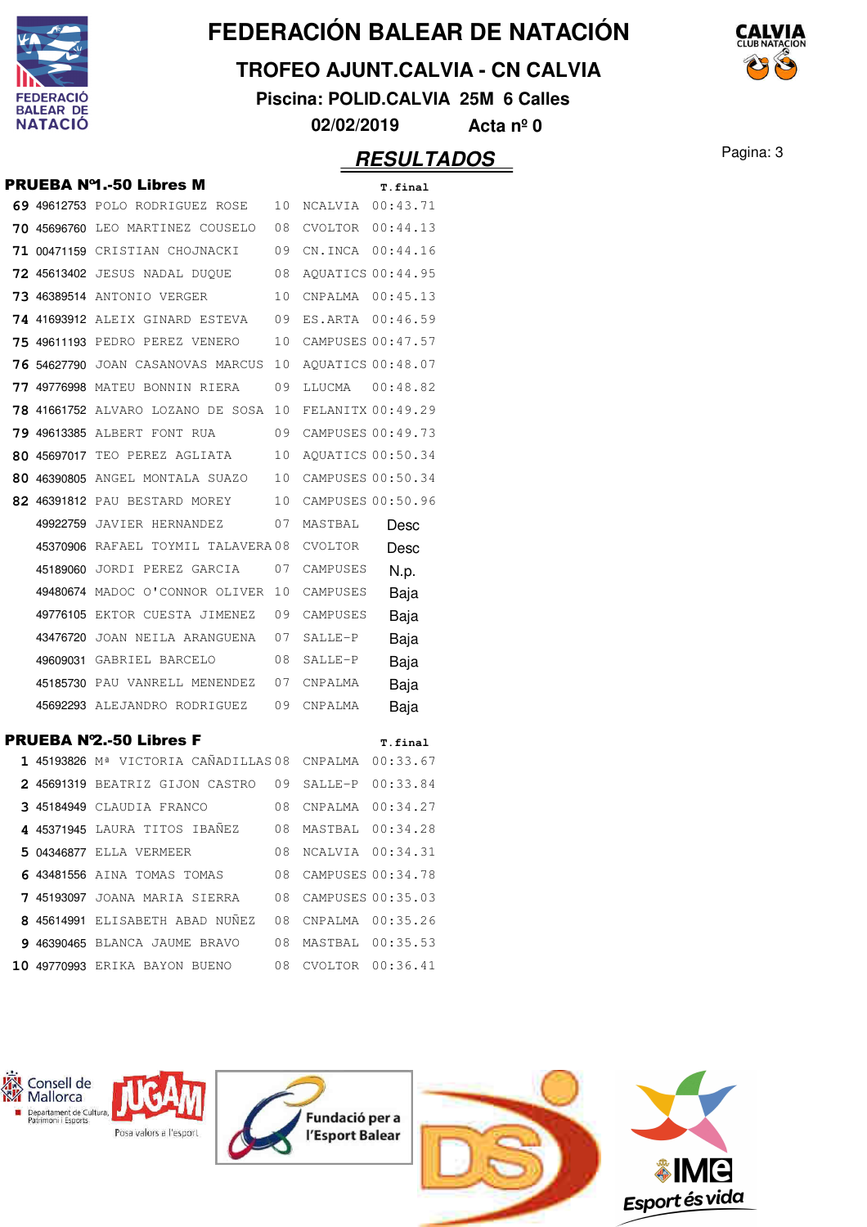

## **TROFEO AJUNT.CALVIA - CN CALVIA**

**Piscina: POLID.CALVIA 25M 6 Calles**

**02/02/2019 Acta nº 0**

|  | <b>PRUEBA Nº1.-50 Libres M</b>                         |    |                   | T.final           |
|--|--------------------------------------------------------|----|-------------------|-------------------|
|  | 69 49612753 POLO RODRIGUEZ ROSE                        | 10 | NCALVIA           | 00:43.71          |
|  | 70 45696760 LEO MARTINEZ COUSELO                       | 08 | CVOLTOR           | 00:44.13          |
|  | 71 00471159 CRISTIAN CHOJNACKI                         | 09 | CN.INCA           | 00:44.16          |
|  | <b>72 45613402</b> JESUS NADAL DUQUE                   | 08 |                   | AQUATICS 00:44.95 |
|  | 73 46389514 ANTONIO VERGER                             | 10 | CNPALMA           | 00:45.13          |
|  | 74 41693912 ALEIX GINARD ESTEVA                        | 09 | ES.ARTA           | 00:46.59          |
|  | 75 49611193 PEDRO PEREZ VENERO                         | 10 |                   | CAMPUSES 00:47.57 |
|  | 76 54627790 JOAN CASANOVAS MARCUS                      | 10 |                   | AQUATICS 00:48.07 |
|  | <b>77 49776998</b> MATEU BONNIN RIERA                  | 09 | LLUCMA            | 00:48.82          |
|  | <b>78 41661752</b> ALVARO LOZANO DE SOSA               | 10 |                   | FELANITX 00:49.29 |
|  | 79 49613385 ALBERT FONT RUA                            | 09 | CAMPUSES 00:49.73 |                   |
|  | 80 45697017 TEO PEREZ AGLIATA                          | 10 | AQUATICS 00:50.34 |                   |
|  | 80 46390805 ANGEL MONTALA SUAZO                        | 10 | CAMPUSES 00:50.34 |                   |
|  | 82 46391812 PAU BESTARD MOREY                          | 10 | CAMPUSES 00:50.96 |                   |
|  | 49922759 JAVIER HERNANDEZ                              | 07 | MASTBAL           | Desc              |
|  | 45370906 RAFAEL TOYMIL TALAVERA08                      |    | CVOLTOR           | Desc              |
|  | 45189060 JORDI PEREZ GARCIA                            | 07 | CAMPUSES          | N.p.              |
|  | 49480674 MADOC O'CONNOR OLIVER                         | 10 | CAMPUSES          | Baja              |
|  | 49776105 EKTOR CUESTA JIMENEZ 09                       |    | CAMPUSES          | Baja              |
|  | 43476720 JOAN NEILA ARANGUENA 07                       |    | SALLE-P           | Baja              |
|  | 49609031 GABRIEL BARCELO                               | 08 | SALLE-P           | Baja              |
|  | 45185730 PAU VANRELL MENENDEZ 07                       |    | CNPALMA           | Baja              |
|  | 45692293 ALEJANDRO RODRIGUEZ                           | 09 | CNPALMA           | Baja              |
|  | <b>PRUEBA Nº2.-50 Libres F</b>                         |    |                   | T.final           |
|  | 1 45193826 Mª VICTORIA CAÑADILLAS 08                   |    | CNPALMA           | 00:33.67          |
|  | 2 45691319 BEATRIZ GIJON CASTRO 09                     |    | SALLE-P           | 00:33.84          |
|  | 3 45184949 CLAUDIA FRANCO                              | 08 | CNPALMA           | 00:34.27          |
|  | 4 45371945 LAURA TITOS IBAÑEZ 08 MASTBAL 00:34.28      |    |                   |                   |
|  | 5 04346877 ELLA VERMEER 08 NCALVIA 00:34.31            |    |                   |                   |
|  | 6 43481556 AINA TOMAS TOMAS 08 CAMPUSES 00:34.78       |    |                   |                   |
|  | 7 45193097 JOANA MARIA SIERRA 08 CAMPUSES 00:35.03     |    |                   |                   |
|  | 8 45614991 ELISABETH ABAD NUÑEZ 08 CNPALMA 00:35.26    |    |                   |                   |
|  | 9 46390465 BLANCA JAUME BRAVO 08 MASTBAL 00:35.53      |    |                   |                   |
|  | 10 49770993 ERIKA BAYON BUENO      08 CVOLTOR 00:36.41 |    |                   |                   |
|  |                                                        |    |                   |                   |



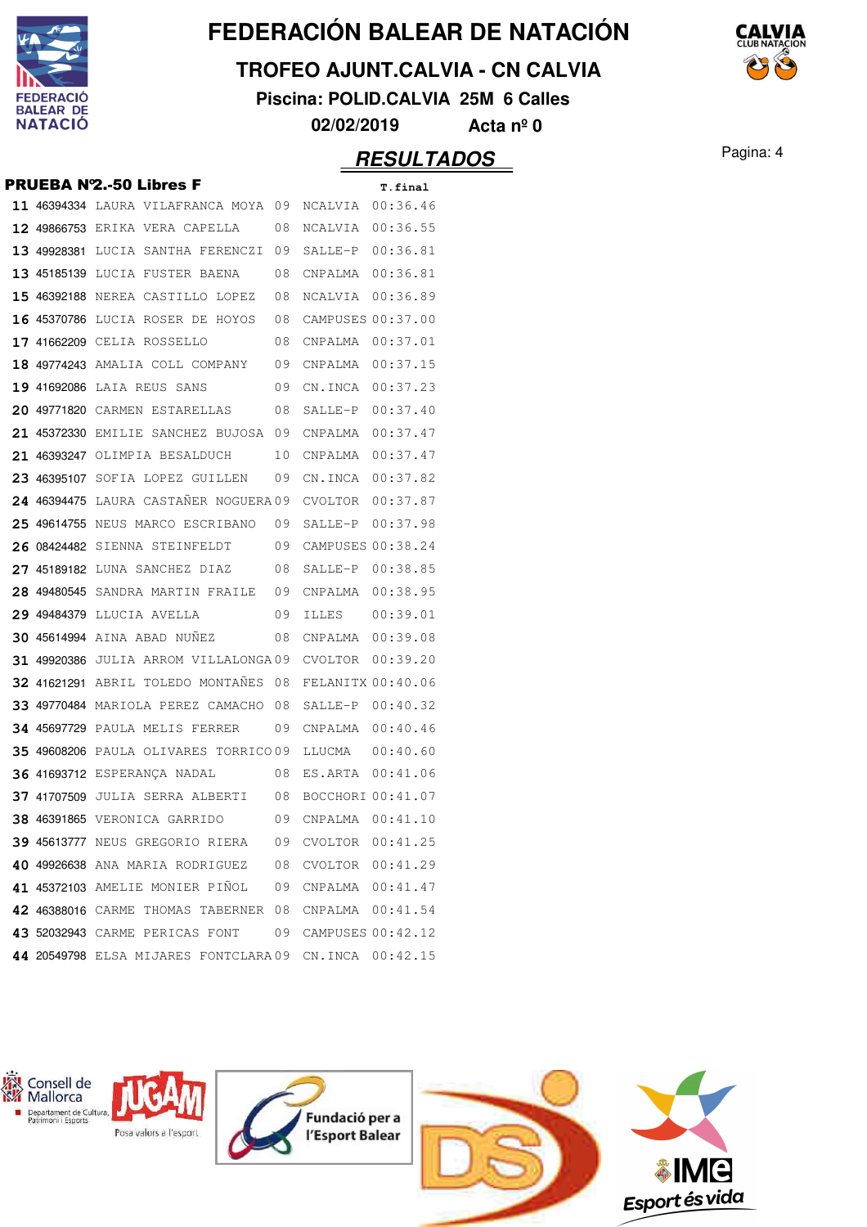

## **TROFEO AJUNT.CALVIA - CN CALVIA**

**Piscina: POLID.CALVIA 25M 6 Calles**

**02/02/2019 Acta nº 0**

|             | <b>PRUEBA Nº2.-50 Libres F</b>                        |    |                   | T.final           |
|-------------|-------------------------------------------------------|----|-------------------|-------------------|
|             | 11 46394334 LAURA VILAFRANCA MOYA 09                  |    | NCALVIA 00:36.46  |                   |
|             | <b>12 49866753</b> ERIKA VERA CAPELLA                 | 08 | NCALVIA           | 00:36.55          |
|             | 13 49928381 LUCIA SANTHA FERENCZI                     | 09 | SALLE-P           | 00:36.81          |
|             | 13 45185139 LUCIA FUSTER BAENA                        | 08 | CNPALMA           | 00:36.81          |
|             | 15 46392188 NEREA CASTILLO LOPEZ                      | 08 | NCALVIA           | 00:36.89          |
| 16 45370786 | LUCIA ROSER DE HOYOS                                  | 08 | CAMPUSES 00:37.00 |                   |
|             | 17 41662209 CELIA ROSSELLO                            | 08 | CNPALMA           | 00:37.01          |
|             | 18 49774243 AMALIA COLL COMPANY                       | 09 | CNPALMA           | 00:37.15          |
|             | 19 41692086 LAIA REUS SANS                            | 09 | CN.INCA           | 00:37.23          |
|             | 20 49771820 CARMEN ESTARELLAS                         | 08 | SALLE-P           | 00:37.40          |
|             | 21 45372330 EMILIE SANCHEZ BUJOSA 09                  |    | CNPALMA           | 00:37.47          |
|             | 21 46393247 OLIMPIA BESALDUCH                         | 10 | CNPALMA           | 00:37.47          |
|             | 23 46395107 SOFIA LOPEZ GUILLEN                       | 09 | CN.INCA           | 00:37.82          |
|             | 24 46394475 LAURA CASTAÑER NOGUERA 09                 |    | CVOLTOR           | 00:37.87          |
|             | 25 49614755 NEUS MARCO ESCRIBANO                      | 09 | SALLE-P           | 00:37.98          |
| 26 08424482 | SIENNA STEINFELDT                                     | 09 | CAMPUSES 00:38.24 |                   |
|             | 27 45189182 LUNA SANCHEZ DIAZ                         | 08 | SALLE-P           | 00:38.85          |
|             | 28 49480545 SANDRA MARTIN FRAILE                      | 09 | CNPALMA           | 00:38.95          |
|             | 29 49484379 LLUCIA AVELLA                             | 09 | ILLES             | 00:39.01          |
|             | 30 45614994 AINA ABAD NUÑEZ                           | 08 | CNPALMA           | 00:39.08          |
|             | 31 49920386 JULIA ARROM VILLALONGA09                  |    | CVOLTOR           | 00:39.20          |
|             | 32 41621291 ABRIL TOLEDO MONTAÑES                     | 08 | FELANITX 00:40.06 |                   |
|             | 33 49770484 MARIOLA PEREZ CAMACHO                     | 08 | SALLE-P           | 00:40.32          |
|             | 34 45697729 PAULA MELIS FERRER                        | 09 | CNPALMA           | 00:40.46          |
|             | 35 49608206 PAULA OLIVARES TORRICO09                  |    | LLUCMA            | 00:40.60          |
|             | <b>36 41693712 ESPERANCA NADAL</b>                    | 08 | ES.ARTA           | 00:41.06          |
|             | 37 41707509 JULIA SERRA ALBERTI                       | 08 |                   | BOCCHORI 00:41.07 |
|             | 38 46391865 VERONICA GARRIDO                          | 09 | CNPALMA           | 00:41.10          |
|             | 39 45613777 NEUS GREGORIO RIERA 09 CVOLTOR 00:41.25   |    |                   |                   |
|             | 40 49926638 ANA MARIA RODRIGUEZ 08 CVOLTOR 00:41.29   |    |                   |                   |
|             | 41 45372103 AMELIE MONIER PIÑOL 09 CNPALMA 00:41.47   |    |                   |                   |
|             | 42 46388016 CARME THOMAS TABERNER 08 CNPALMA 00:41.54 |    |                   |                   |
|             | 43 52032943 CARME PERICAS FONT 09 CAMPUSES 00:42.12   |    |                   |                   |
|             | 44 20549798 ELSA MIJARES FONTCLARA09 CN.INCA 00:42.15 |    |                   |                   |
|             |                                                       |    |                   |                   |



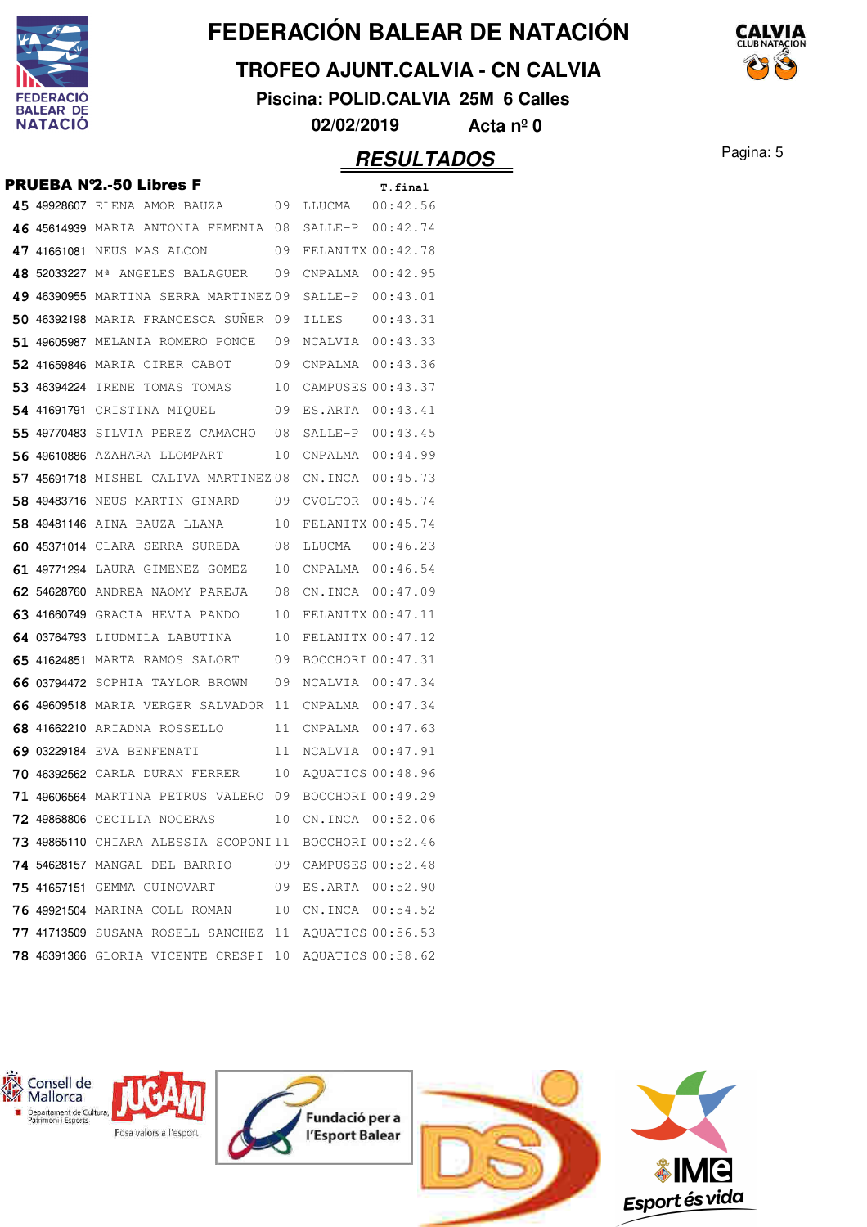

## **TROFEO AJUNT.CALVIA - CN CALVIA**

**Piscina: POLID.CALVIA 25M 6 Calles**

**02/02/2019 Acta nº 0**

## **RESULTADOS** Pagina: 5

|  | <b>PRUEBA Nº2.-50 Libres F</b>                         |    |                      | T.final  |
|--|--------------------------------------------------------|----|----------------------|----------|
|  | 45 49928607 ELENA AMOR BAUZA 09                        |    | LLUCMA   00:42.56    |          |
|  | 46 45614939 MARIA ANTONIA FEMENIA 08                   |    | SALLE-P 00:42.74     |          |
|  | 47 41661081 NEUS MAS ALCON                             | 09 | FELANITX 00:42.78    |          |
|  | 48 52033227 Mª ANGELES BALAGUER                        | 09 | CNPALMA 00:42.95     |          |
|  | 49 46390955 MARTINA SERRA MARTINEZ09                   |    | SALLE-P 00:43.01     |          |
|  | 50 46392198 MARIA FRANCESCA SUNER                      | 09 | ILLES                | 00:43.31 |
|  | <b>51 49605987</b> MELANIA ROMERO PONCE                | 09 | NCALVIA 00:43.33     |          |
|  | 52 41659846 MARIA CIRER CABOT                          | 09 | CNPALMA 00:43.36     |          |
|  | 53 46394224 IRENE TOMAS TOMAS                          | 10 | CAMPUSES 00:43.37    |          |
|  | 54 41691791 CRISTINA MIQUEL                            | 09 | ES.ARTA 00:43.41     |          |
|  | 55 49770483 SILVIA PEREZ CAMACHO                       | 08 | $SALLE-P$ $00:43.45$ |          |
|  | <b>56 49610886</b> AZAHARA LLOMPART                    | 10 |                      |          |
|  | 57 45691718 MISHEL CALIVA MARTINEZ08                   |    | CN.INCA 00:45.73     |          |
|  | <b>58 49483716</b> NEUS MARTIN GINARD                  | 09 | CVOLTOR $00:45.74$   |          |
|  | <b>58 49481146</b> AINA BAUZA LLANA                    | 10 | FELANITX 00:45.74    |          |
|  | 60 45371014 CLARA SERRA SUREDA                         | 08 | LLUCMA               | 00:46.23 |
|  | 61 49771294 LAURA GIMENEZ GOMEZ                        | 10 | CNPALMA 00:46.54     |          |
|  | <b>62 54628760</b> andrea naomy pareja                 | 08 | CN.INCA 00:47.09     |          |
|  | 63 41660749 GRACIA HEVIA PANDO                         | 10 | FELANITX 00:47.11    |          |
|  | 64 03764793 LIUDMILA LABUTINA                          | 10 | FELANITX 00:47.12    |          |
|  | <b>65 41624851</b> marta ramos salort                  | 09 | BOCCHORI 00:47.31    |          |
|  | 66 03794472 SOPHIA TAYLOR BROWN                        | 09 | NCALVIA 00:47.34     |          |
|  | 66 49609518 MARIA VERGER SALVADOR                      | 11 | CNPALMA 00:47.34     |          |
|  | <b>68 41662210</b> ARIADNA ROSSELLO                    | 11 | CNPALMA 00:47.63     |          |
|  | 69 03229184 EVA BENFENATI                              | 11 | NCALVIA 00:47.91     |          |
|  | 70 46392562 CARLA DURAN FERRER                         | 10 | AQUATICS 00:48.96    |          |
|  | <b>71 49606564</b> MARTINA PETRUS VALERO 09            |    | BOCCHORI 00:49.29    |          |
|  | 72 49868806 CECILIA NOCERAS                            | 10 | CN.INCA 00:52.06     |          |
|  | 73 49865110 CHIARA ALESSIA SCOPONI11 BOCCHORI00:52.46  |    |                      |          |
|  | 74 54628157 MANGAL DEL BARRIO 09 CAMPUSES 00:52.48     |    |                      |          |
|  | 75 41657151 GEMMA GUINOVART 09                         |    | ES.ARTA 00:52.90     |          |
|  | <b>76 49921504</b> MARINA COLL ROMAN                   |    | 10 CN. INCA 00:54.52 |          |
|  | 77 41713509 SUSANA ROSELL SANCHEZ 11 AQUATICS 00:56.53 |    |                      |          |
|  | 78 46391366 GLORIA VICENTE CRESPI 10 AOUATICS 00:58.62 |    |                      |          |

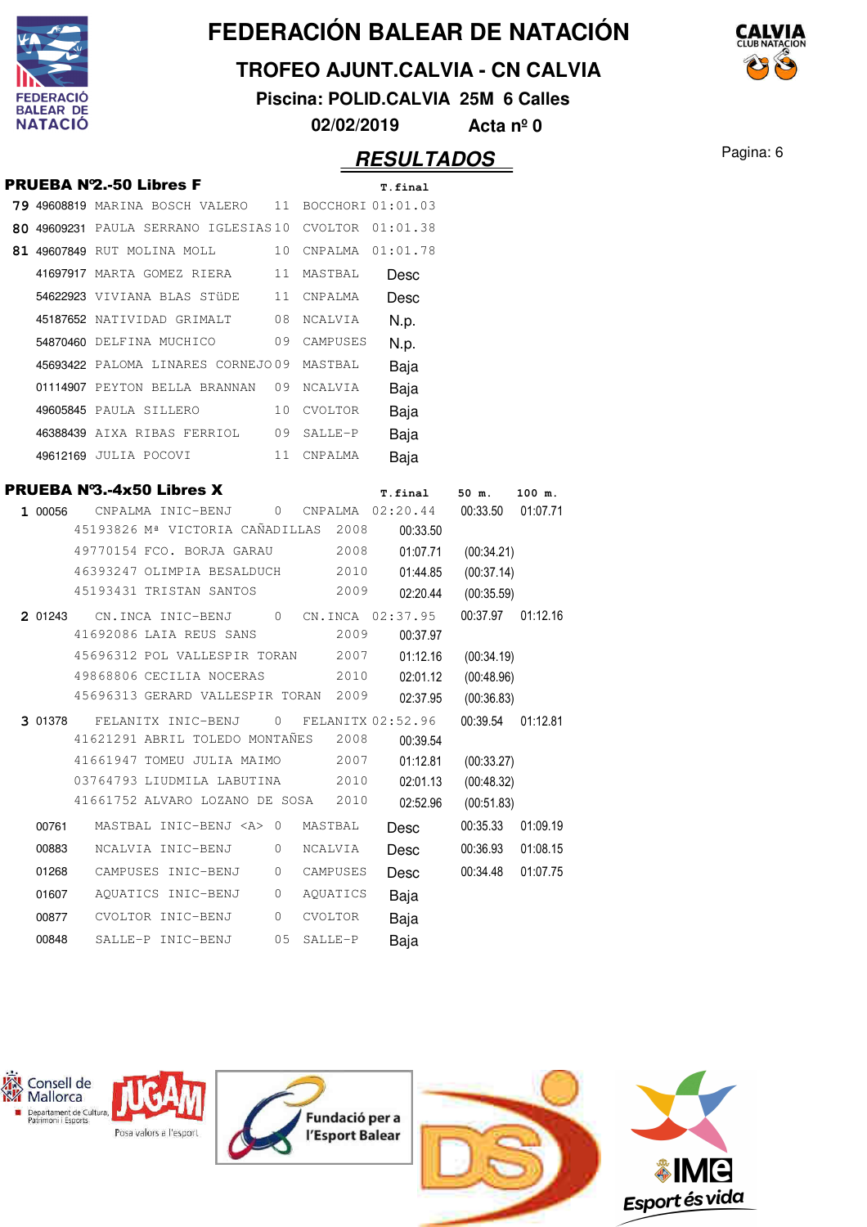

#### **TROFEO AJUNT.CALVIA - CN CALVIA**

**Piscina: POLID.CALVIA 25M 6 Calles**

**02/02/2019 Acta nº 0**

## **RESULTADOS** Pagina: 6

CAIVIA

|         |                                                                |                |          | ,,,,,,,,,,,          |                          |          |
|---------|----------------------------------------------------------------|----------------|----------|----------------------|--------------------------|----------|
|         | <b>PRUEBA Nº2.-50 Libres F</b>                                 |                |          | T.final              |                          |          |
|         | 79 49608819 MARINA BOSCH VALERO 11 BOCCHORI 01:01.03           |                |          |                      |                          |          |
|         | 80 49609231 PAULA SERRANO IGLESIAS10 CVOLTOR 01:01.38          |                |          |                      |                          |          |
|         | 81 49607849 RUT MOLINA MOLL 10 CNPALMA 01:01.78                |                |          |                      |                          |          |
|         | 41697917 MARTA GOMEZ RIERA 11 MASTBAL                          |                |          | Desc                 |                          |          |
|         | 54622923 VIVIANA BLAS STÜDE 11 CNPALMA                         |                |          | Desc                 |                          |          |
|         | 45187652 NATIVIDAD GRIMALT 08 NCALVIA                          |                |          | N.p.                 |                          |          |
|         | 54870460 DELFINA MUCHICO 09 CAMPUSES                           |                |          | N.p.                 |                          |          |
|         | 45693422 PALOMA LINARES CORNEJO09 MASTBAL                      |                |          | Baja                 |                          |          |
|         | 01114907 PEYTON BELLA BRANNAN 09 NCALVIA                       |                |          | Baja                 |                          |          |
|         | 49605845 PAULA SILLERO 10 CVOLTOR                              |                |          | Baja                 |                          |          |
|         | 46388439 AIXA RIBAS FERRIOL 09 SALLE-P                         |                |          | Baja                 |                          |          |
|         | 49612169 JULIA POCOVI 11 CNPALMA                               |                |          | Baja                 |                          |          |
|         | <b>PRUEBA Nº3.-4x50 Libres X</b>                               |                |          | T.final              | 50 m.                    | 100 m.   |
|         | 1 00056 CNPALMA INIC-BENJ 0 CNPALMA 02:20.44 00:33.50 01:07.71 |                |          |                      |                          |          |
|         | 45193826 Mª VICTORIA CAÑADILLAS 2008                           |                |          | 00:33.50             |                          |          |
|         | 49770154 FCO. BORJA GARAU                                      |                | 2008     | 01:07.71             | (00:34.21)               |          |
|         | 46393247 OLIMPIA BESALDUCH 2010                                |                |          | 01:44.85             | (00:37.14)               |          |
|         | 45193431 TRISTAN SANTOS                                        |                | 2009     | 02:20.44             | (00:35.59)               |          |
| 2 01243 | CN.INCA INIC-BENJ 0 CN.INCA 02:37.95                           |                |          |                      | 00:37.97 01:12.16        |          |
|         | 41692086 LAIA REUS SANS<br>45696312 POL VALLESPIR TORAN 2007   |                | 2009     | 00:37.97<br>01:12.16 |                          |          |
|         | 49868806 CECILIA NOCERAS                                       |                | 2010     | 02:01.12             | (00:34.19)<br>(00:48.96) |          |
|         | 45696313 GERARD VALLESPIR TORAN 2009                           |                |          | 02:37.95             | (00:36.83)               |          |
| 3 01378 | FELANITX INIC-BENJ                                             | $\mathbf{0}$   |          | FELANITX 02:52.96    | 00:39.54 01:12.81        |          |
|         | 41621291 ABRIL TOLEDO MONTAÑES                                 |                | 2008     | 00:39.54             |                          |          |
|         | 41661947 TOMEU JULIA MAIMO                                     |                | 2007     | 01:12.81             | (00:33.27)               |          |
|         | 03764793 LIUDMILA LABUTINA                                     |                | 2010     | 02:01.13             | (00:48.32)               |          |
|         | 41661752 ALVARO LOZANO DE SOSA 2010                            |                |          | 02:52.96             | (00:51.83)               |          |
| 00761   | MASTBAL INIC-BENJ <a></a>                                      | $\overline{0}$ | MASTBAL  | Desc                 | 00:35.33                 | 01:09.19 |
| 00883   | NCALVIA INIC-BENJ                                              | 0              | NCALVIA  | Desc                 | 00:36.93                 | 01:08.15 |
| 01268   | CAMPUSES INIC-BENJ                                             | 0              | CAMPUSES | Desc                 | 00:34.48                 | 01:07.75 |
| 01607   | AQUATICS INIC-BENJ                                             | 0              | AQUATICS | Baja                 |                          |          |
|         |                                                                |                |          |                      |                          |          |
| 00877   | CVOLTOR INIC-BENJ                                              | 0              | CVOLTOR  | Baja                 |                          |          |

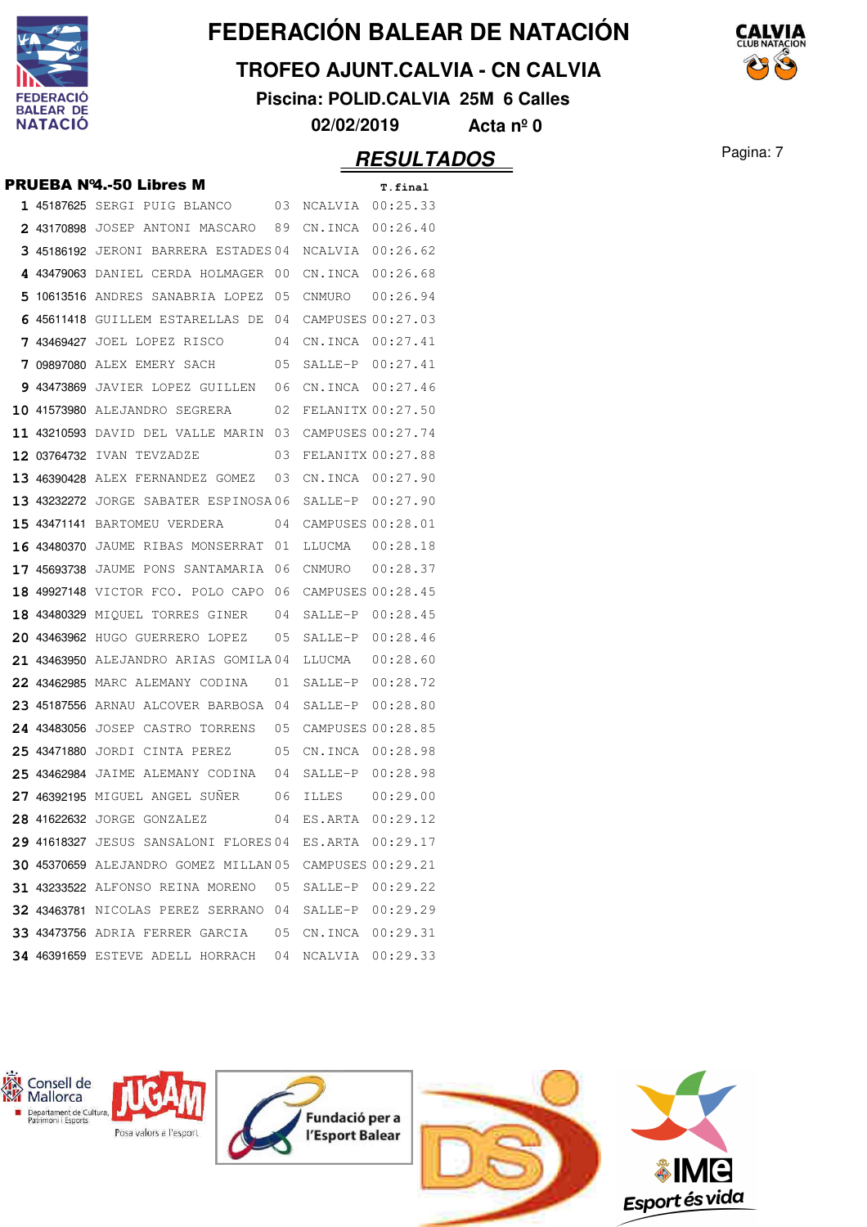

#### **TROFEO AJUNT.CALVIA - CN CALVIA**

**Piscina: POLID.CALVIA 25M 6 Calles**

**02/02/2019 Acta nº 0**

## **RESULTADOS** Pagina: 7

|  | <b>PRUEBA Nº4.-50 Libres M</b>                               |                  | T.final |
|--|--------------------------------------------------------------|------------------|---------|
|  | 1 45187625 SERGI PUIG BLANCO 03 NCALVIA 00:25.33             |                  |         |
|  | 2 43170898 JOSEP ANTONI MASCARO 89 CN.INCA 00:26.40          |                  |         |
|  | 3 45186192 JERONI BARRERA ESTADES 04 NCALVIA 00:26.62        |                  |         |
|  | 4 43479063 DANIEL CERDA HOLMAGER 00 CN.INCA 00:26.68         |                  |         |
|  | 5 10613516 ANDRES SANABRIA LOPEZ 05 CNMURO 00:26.94          |                  |         |
|  | 6 45611418 GUILLEM ESTARELLAS DE 04 CAMPUSES 00:27.03        |                  |         |
|  | 7 43469427 JOEL LOPEZ RISCO 04 CN.INCA 00:27.41              |                  |         |
|  | 7 09897080 ALEX EMERY SACH 05 SALLE-P 00:27.41               |                  |         |
|  | 9 43473869 JAVIER LOPEZ GUILLEN 06 CN. INCA 00:27.46         |                  |         |
|  | 10 41573980 ALEJANDRO SEGRERA 02 FELANITX 00:27.50           |                  |         |
|  | 11 43210593 DAVID DEL VALLE MARIN 03 CAMPUSES 00:27.74       |                  |         |
|  | 12 03764732 IVAN TEVZADZE 03 FELANITX 00:27.88               |                  |         |
|  | 13 46390428 ALEX FERNANDEZ GOMEZ 03 CN.INCA 00:27.90         |                  |         |
|  | 13 43232272 JORGE SABATER ESPINOSA06 SALLE-P 00:27.90        |                  |         |
|  | 15 43471141 BARTOMEU VERDERA 04 CAMPUSES 00:28.01            |                  |         |
|  | 16 43480370 JAUME RIBAS MONSERRAT 01 LLUCMA 00:28.18         |                  |         |
|  | 17 45693738 JAUME PONS SANTAMARIA 06 CNMURO 00:28.37         |                  |         |
|  | 18 49927148 VICTOR FCO. POLO CAPO 06 CAMPUSES 00:28.45       |                  |         |
|  | 18 43480329 MIQUEL TORRES GINER 04 SALLE-P 00:28.45          |                  |         |
|  | 20 43463962 HUGO GUERRERO LOPEZ 05 SALLE-P 00:28.46          |                  |         |
|  | 21 43463950 ALEJANDRO ARIAS GOMILA04 LLUCMA 00:28.60         |                  |         |
|  | 22 43462985 MARC ALEMANY CODINA 01 SALLE-P 00:28.72          |                  |         |
|  | 23 45187556 ARNAU ALCOVER BARBOSA 04 SALLE-P 00:28.80        |                  |         |
|  | 24 43483056 JOSEP CASTRO TORRENS 05 CAMPUSES 00:28.85        |                  |         |
|  | 25 43471880 JORDI CINTA PEREZ 05 CN.INCA 00:28.98            |                  |         |
|  | 25 43462984 JAIME ALEMANY CODINA 04 SALLE-P 00:28.98         |                  |         |
|  | 27 46392195 MIGUEL ANGEL SUÑER 06 ILLES 00:29.00             |                  |         |
|  | 28 41622632 JORGE GONZALEZ 04 ES.ARTA 00:29.12               |                  |         |
|  | 29 41618327 JESUS SANSALONI FLORES 04 ES.ARTA 00:29.17       |                  |         |
|  | 30 45370659 ALEJANDRO GOMEZ MILLAN 05 CAMPUSES 00:29.21      |                  |         |
|  | 31 43233522 ALFONSO REINA MORENO 05 SALLE-P 00:29.22         |                  |         |
|  | <b>32 43463781</b> NICOLAS PEREZ SERRANO 04 SALLE-P 00:29.29 |                  |         |
|  | <b>33 43473756</b> ADRIA FERRER GARCIA  05 CN.INCA  00:29.31 |                  |         |
|  | 34 46391659 ESTEVE ADELL HORRACH 04                          | NCALVIA 00:29.33 |         |

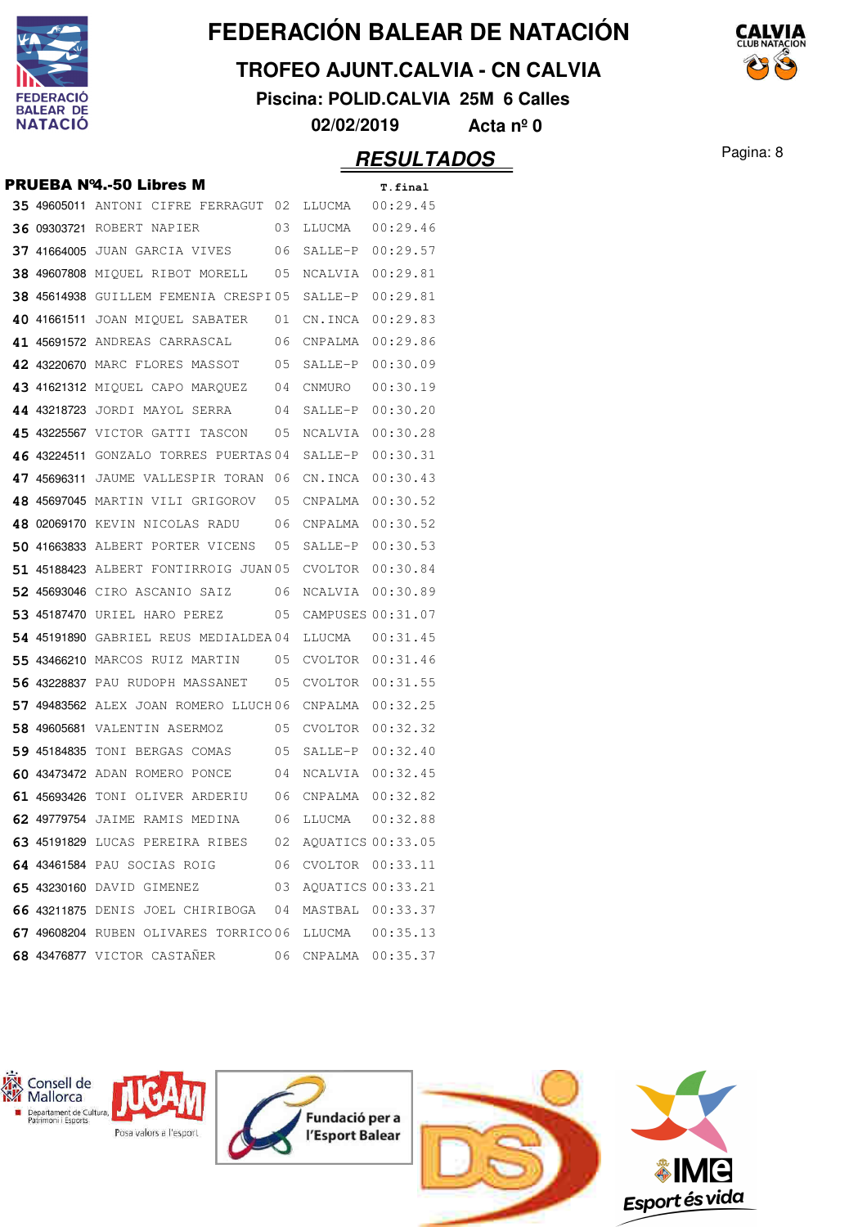

#### **TROFEO AJUNT.CALVIA - CN CALVIA**

**Piscina: POLID.CALVIA 25M 6 Calles**



## **RESULTADOS** Pagina: 8

|  | <b>PRUEBA Nº4.-50 Libres M</b>                            |    |                   | T.final  |
|--|-----------------------------------------------------------|----|-------------------|----------|
|  | 35 49605011 ANTONI CIFRE FERRAGUT 02 LLUCMA  00:29.45     |    |                   |          |
|  | <b>36 09303721 ROBERT NAPIER</b> 03                       |    | LLUCMA  00:29.46  |          |
|  | 37 41664005 JUAN GARCIA VIVES 06 SALLE-P 00:29.57         |    |                   |          |
|  | 38 49607808 MIQUEL RIBOT MORELL 05                        |    | NCALVIA 00:29.81  |          |
|  | $38$ 45614938 GUILLEM FEMENIA CRESPI05 SALLE-P $00:29.81$ |    |                   |          |
|  | 40 41661511 JOAN MIOUEL SABATER 01 CN.INCA 00:29.83       |    |                   |          |
|  | 41 45691572 ANDREAS CARRASCAL 06                          |    | CNPALMA 00:29.86  |          |
|  | 42 43220670 MARC FLORES MASSOT 05 SALLE-P 00:30.09        |    |                   |          |
|  | 43 41621312 MIQUEL CAPO MARQUEZ 04                        |    | CNMURO            | 00:30.19 |
|  | 44 43218723 JORDI MAYOL SERRA 04                          |    | SALLE-P 00:30.20  |          |
|  | 45 43225567 VICTOR GATTI TASCON 05                        |    | NCALVIA 00:30.28  |          |
|  | <b>46 43224511</b> GONZALO TORRES PUERTAS 04              |    | SALLE-P 00:30.31  |          |
|  | 47 45696311 JAUME VALLESPIR TORAN 06                      |    | CN.INCA 00:30.43  |          |
|  | 48 45697045 MARTIN VILI GRIGOROV 05                       |    | CNPALMA 00:30.52  |          |
|  | 48 02069170 KEVIN NICOLAS RADU 06                         |    | CNPALMA 00:30.52  |          |
|  | 50 41663833 ALBERT PORTER VICENS 05                       |    | SALLE-P 00:30.53  |          |
|  | 51 45188423 ALBERT FONTIRROIG JUAN 05                     |    | CVOLTOR 00:30.84  |          |
|  | <b>52 45693046</b> CIRO ASCANIO SAIZ 06                   |    | NCALVIA 00:30.89  |          |
|  | 53 45187470 URIEL HARO PEREZ                              | 05 | CAMPUSES 00:31.07 |          |
|  | 54 45191890 GABRIEL REUS MEDIALDEA04                      |    |                   |          |
|  | <b>55 43466210 MARCOS RUIZ MARTIN</b> 05                  |    | CVOLTOR 00:31.46  |          |
|  | 56 43228837 PAU RUDOPH MASSANET                           | 05 | CVOLTOR 00:31.55  |          |
|  | 57 49483562 ALEX JOAN ROMERO LLUCH06                      |    | CNPALMA 00:32.25  |          |
|  | 58 49605681 VALENTIN ASERMOZ 05                           |    | CVOLTOR 00:32.32  |          |
|  | 59 45184835 TONI BERGAS COMAS 05 SALLE-P 00:32.40         |    |                   |          |
|  | 60 43473472 ADAN ROMERO PONCE 04                          |    | NCALVIA 00:32.45  |          |
|  | 61 45693426 TONI OLIVER ARDERIU 06 CNPALMA 00:32.82       |    |                   |          |
|  | <b>62 49779754</b> JAIME RAMIS MEDINA                     | 06 | LLUCMA            | 00:32.88 |
|  | 63 45191829 LUCAS PEREIRA RIBES 02 AQUATICS 00:33.05      |    |                   |          |
|  | 64 43461584 PAU SOCIAS ROIG 6 06 CVOLTOR 00:33.11         |    |                   |          |
|  | 65 43230160 DAVID GIMENEZ                                 | 03 | AQUATICS 00:33.21 |          |
|  | 66 43211875 DENIS JOEL CHIRIBOGA 04 MASTBAL 00:33.37      |    |                   |          |
|  | 67 49608204 RUBEN OLIVARES TORRICO 06 LLUCMA  00:35.13    |    |                   |          |
|  | 68 43476877 VICTOR CASTAÑER 66 CNPALMA 00:35.37           |    |                   |          |
|  |                                                           |    |                   |          |

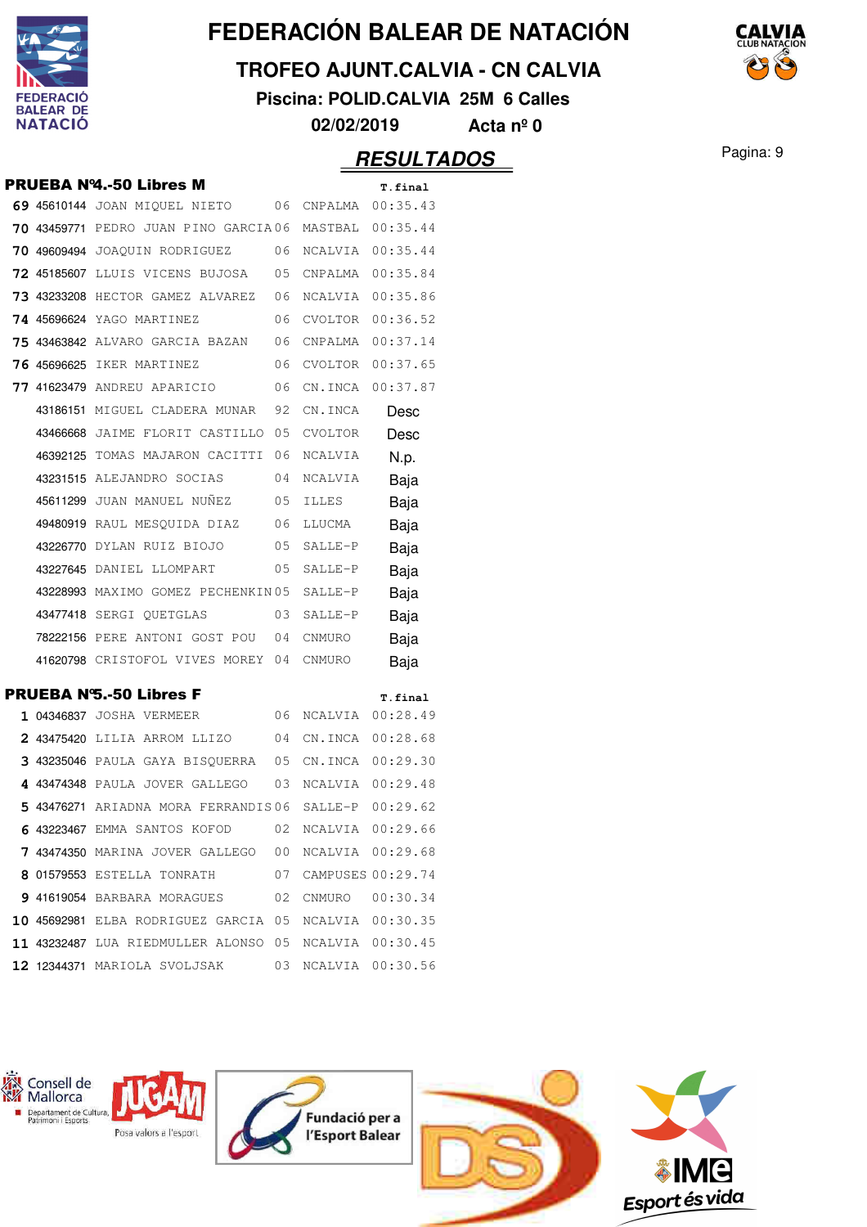

## **TROFEO AJUNT.CALVIA - CN CALVIA**

**Piscina: POLID.CALVIA 25M 6 Calles**

**02/02/2019 Acta nº 0**

## **RESULTADOS** Pagina: 9

|  | <b>PRUEBA Nº4.-50 Libres M</b>                        |                   | T.final          |
|--|-------------------------------------------------------|-------------------|------------------|
|  | 69 45610144 JOAN MIQUEL NIETO 06 CNPALMA 00:35.43     |                   |                  |
|  | 70 43459771 PEDRO JUAN PINO GARCIA06 MASTBAL 00:35.44 |                   |                  |
|  | <b>70 49609494</b> JOAQUIN RODRIGUEZ 06               | NCALVIA 00:35.44  |                  |
|  | 72 45185607 LLUIS VICENS BUJOSA 05 CNPALMA 00:35.84   |                   |                  |
|  | 73 43233208 HECTOR GAMEZ ALVAREZ 06                   | NCALVIA 00:35.86  |                  |
|  | <b>74 45696624</b> YAGO MARTINEZ 06                   | CVOLTOR 00:36.52  |                  |
|  | 75 43463842 ALVARO GARCIA BAZAN 06                    | CNPALMA  00:37.14 |                  |
|  | <b>76 45696625</b> IKER MARTINEZ 06                   |                   | CVOLTOR 00:37.65 |
|  | 77 41623479 ANDREU APARICIO 06                        |                   | CN.INCA 00:37.87 |
|  | 43186151 MIGUEL CLADERA MUNAR 92                      | CN.INCA           | Desc             |
|  | 43466668 JAIME FLORIT CASTILLO 05                     | CVOLTOR           | Desc             |
|  | 46392125 TOMAS MAJARON CACITTI 06                     | NCALVIA           | N.p.             |
|  | 43231515 ALEJANDRO SOCIAS 04                          | NCALVIA           | Baja             |
|  | 45611299 JUAN MANUEL NUÑEZ 05                         | ILLES             | Baja             |
|  | 49480919 RAUL MESQUIDA DIAZ 06                        | LLUCMA            | Baja             |
|  |                                                       | SALLE-P           | Baja             |
|  | 43227645 DANIEL LLOMPART 05                           | $SALLE-P$         | Baja             |
|  | 43228993 MAXIMO GOMEZ PECHENKIN 05                    | SALLE-P           | Baja             |
|  | 43477418 SERGI QUETGLAS 03                            | SALLE-P           | Baja             |
|  | 78222156 PERE ANTONI GOST POU 04                      | CNMURO            | Baja             |
|  | 41620798 CRISTOFOL VIVES MOREY 04 CNMURO              |                   | Baja             |
|  | <b>PRUEBA N'S.-50 Libres F</b>                        |                   | T.final          |
|  | 1 04346837 JOSHA VERMEER 06                           | NCALVIA 00:28.49  |                  |
|  | 2 43475420 LILIA ARROM LLIZO 04 CN.INCA 00:28.68      |                   |                  |
|  | 3 43235046 PAULA GAYA BISQUERRA 05 CN.INCA 00:29.30   |                   |                  |
|  | 4 43474348 PAULA JOVER GALLEGO 03 NCALVIA 00:29.48    |                   |                  |
|  | 5 43476271 ARIADNA MORA FERRANDIS 06 SALLE-P 00:29.62 |                   |                  |
|  | 6 43223467 EMMA SANTOS KOFOD 02 NCALVIA 00:29.66      |                   |                  |
|  | 7 43474350 MARINA JOVER GALLEGO 00 NCALVIA 00:29.68   |                   |                  |
|  | 8 01579553 ESTELLA TONRATH 07 CAMPUSES 00:29.74       |                   |                  |
|  | 9 41619054 BARBARA MORAGUES 02 CNMURO 00:30.34        |                   |                  |
|  | 10 45692981 ELBA RODRIGUEZ GARCIA 05 NCALVIA 00:30.35 |                   |                  |
|  | 11 43232487 LUA RIEDMULLER ALONSO 05 NCALVIA 00:30.45 |                   |                  |
|  | 12 12344371 MARIOLA SVOLJSAK 03                       | NCALVIA 00:30.56  |                  |

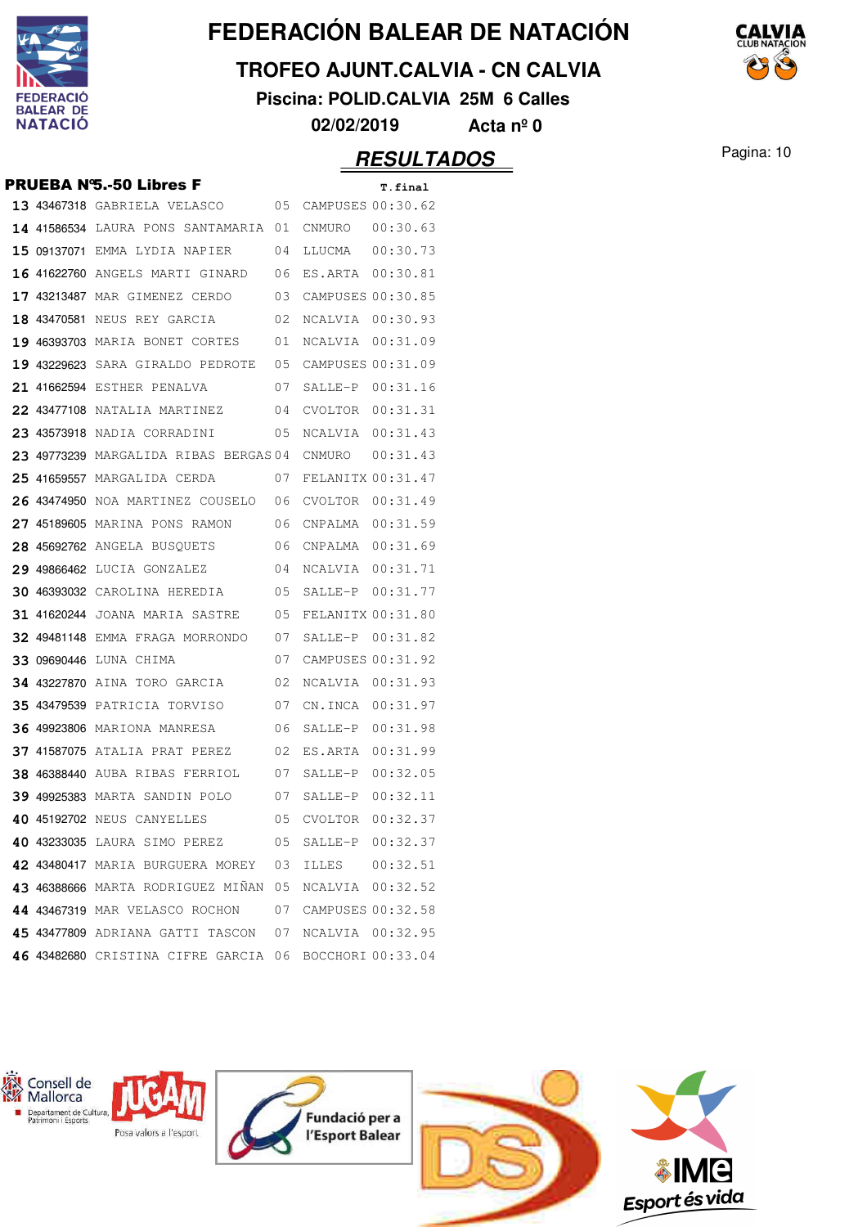

## **TROFEO AJUNT.CALVIA - CN CALVIA**

**Piscina: POLID.CALVIA 25M 6 Calles**

**02/02/2019 Acta nº 0**

|  | <b>PRUEBA N'S.-50 Libres F</b>                       |    |                   | T.final           |
|--|------------------------------------------------------|----|-------------------|-------------------|
|  | 13 43467318 GABRIELA VELASCO                         | 05 |                   | CAMPUSES 00:30.62 |
|  | <b>14 41586534</b> LAURA PONS SANTAMARIA 01          |    | CNMURO            | 00:30.63          |
|  | 15 09137071 EMMA LYDIA NAPIER                        | 04 | LLUCMA            | 00:30.73          |
|  | 16 41622760 ANGELS MARTI GINARD                      | 06 | ES.ARTA           | 00:30.81          |
|  | 17 43213487 MAR GIMENEZ CERDO                        | 03 | CAMPUSES 00:30.85 |                   |
|  | 18 43470581 NEUS REY GARCIA                          | 02 | NCALVIA           | 00:30.93          |
|  | 19 46393703 MARIA BONET CORTES                       | 01 | NCALVIA           | 00:31.09          |
|  | <b>19 43229623</b> SARA GIRALDO PEDROTE              | 05 |                   | CAMPUSES 00:31.09 |
|  | 21 41662594 ESTHER PENALVA                           | 07 | SALLE-P           | 00:31.16          |
|  | <b>22 43477108</b> NATALIA MARTINEZ                  | 04 | CVOLTOR           | 00:31.31          |
|  | 23 43573918 NADIA CORRADINI                          | 05 | NCALVIA           | 00:31.43          |
|  | 23 49773239 MARGALIDA RIBAS BERGAS04                 |    | CNMURO            | 00:31.43          |
|  | 25 41659557 MARGALIDA CERDA                          | 07 | FELANITX 00:31.47 |                   |
|  | 26 43474950 NOA MARTINEZ COUSELO 06                  |    | CVOLTOR           | 00:31.49          |
|  | 27 45189605 MARINA PONS RAMON                        | 06 | CNPALMA           | 00:31.59          |
|  | 28 45692762 ANGELA BUSQUETS                          | 06 | CNPALMA           | 00:31.69          |
|  | 29 49866462 LUCIA GONZALEZ                           | 04 | NCALVIA           | 00:31.71          |
|  | <b>30 46393032</b> CAROLINA HEREDIA                  | 05 | SALLE-P           | 00:31.77          |
|  | <b>31 41620244</b> Joana maria sastre                | 05 | FELANITX 00:31.80 |                   |
|  | 32 49481148 EMMA FRAGA MORRONDO                      | 07 |                   | SALLE-P 00:31.82  |
|  | 33 09690446 LUNA CHIMA                               | 07 |                   | CAMPUSES 00:31.92 |
|  | 34 43227870 AINA TORO GARCIA                         | 02 | NCALVIA           | 00:31.93          |
|  | <b>35 43479539</b> PATRICIA TORVISO                  | 07 | CN.INCA           | 00:31.97          |
|  | <b>36 49923806 MARIONA MANRESA</b>                   | 06 | SALLE-P           | 00:31.98          |
|  | <b>37 41587075</b> ATALIA PRAT PEREZ                 | 02 | ES.ARTA 00:31.99  |                   |
|  | 38 46388440 AUBA RIBAS FERRIOL                       | 07 | SALLE-P           | 00:32.05          |
|  | <b>39 49925383</b> MARTA SANDIN POLO                 | 07 | SALLE-P           | 00:32.11          |
|  | 40 45192702 NEUS CANYELLES                           | 05 | CVOLTOR           | 00:32.37          |
|  | 40 43233035 LAURA SIMO PEREZ 05                      |    |                   | SALLE-P 00:32.37  |
|  | 42 43480417 MARIA BURGUERA MOREY 03                  |    |                   |                   |
|  | 43 46388666 MARTA RODRIGUEZ MIÑAN 05                 |    |                   | NCALVIA 00:32.52  |
|  | 44 43467319 MAR VELASCO ROCHON 07 CAMPUSES 00:32.58  |    |                   |                   |
|  | 45 43477809 ADRIANA GATTI TASCON 07 NCALVIA 00:32.95 |    |                   |                   |
|  | 46 43482680 CRISTINA CIFRE GARCIA 06                 |    |                   | BOCCHORI 00:33.04 |
|  |                                                      |    |                   |                   |



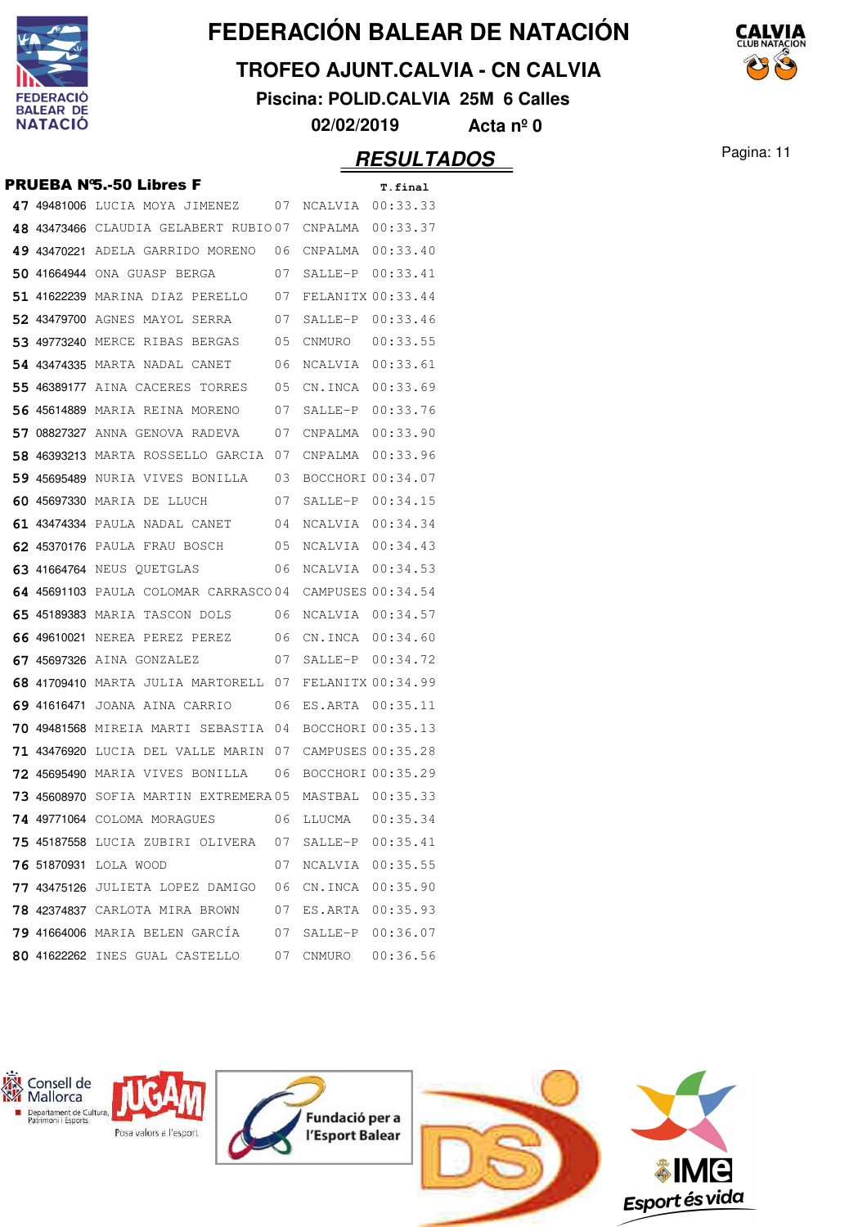

## **TROFEO AJUNT.CALVIA - CN CALVIA**

**Piscina: POLID.CALVIA 25M 6 Calles**

**02/02/2019 Acta nº 0**

## Pagina: 11 **RESULTADOS**

|  | <b>PRUEBA N'S.-50 Libres F</b>              |    |                   | T.final          |
|--|---------------------------------------------|----|-------------------|------------------|
|  | 47 49481006 Lucia moya jimenez              | 07 | NCALVIA 00:33.33  |                  |
|  | 48 43473466 CLAUDIA GELABERT RUBIO07        |    | CNPALMA           | 00:33.37         |
|  | 49 43470221 Adela garrido moreno            | 06 | CNPALMA           | 00:33.40         |
|  | 50 41664944 ONA GUASP BERGA                 | 07 | $SATJ$ . $E-P$    | 00:33.41         |
|  | <b>51 41622239</b> MARINA DIAZ PERELLO      | 07 | FELANITX 00:33.44 |                  |
|  | <b>52 43479700</b> AGNES MAYOL SERRA        | 07 | $SATJ.F-P$        | 00:33.46         |
|  | <b>53 49773240</b> MERCE RIBAS BERGAS       | 05 | CNMURO            | 00:33.55         |
|  | <b>54 43474335</b> marta nadal canet        | 06 | NCALVIA           | 00:33.61         |
|  | <b>55 46389177</b> AINA CACERES TORRES      | 05 | CN.INCA           | 00:33.69         |
|  | <b>56 45614889</b> maria reina moreno       | 07 | SALLE-P           | 00:33.76         |
|  | <b>57 08827327</b> ANNA GENOVA RADEVA       | 07 | CNPALMA           | 00:33.90         |
|  | 58 46393213 MARTA ROSSELLO GARCIA 07        |    | CNPALMA           | 00:33.96         |
|  | 59 45695489 NURIA VIVES BONILLA             | 03 | BOCCHORT 00:34.07 |                  |
|  | 60 45697330 MARIA DE LLUCH                  | 07 | SALLE-P 00:34.15  |                  |
|  | 61 43474334 PAULA NADAL CANET               | 04 | NCALVIA 00:34.34  |                  |
|  | 62 45370176 PAULA FRAU BOSCH                | 05 | <b>NCALVIA</b>    | 00:34.43         |
|  | 63 41664764 NEUS QUETGLAS                   | 06 | NCALVIA           | 00:34.53         |
|  | 64 45691103 PAULA COLOMAR CARRASCO04        |    | CAMPUSES 00:34.54 |                  |
|  | <b>65 45189383</b> maria tascon dols        | 06 | NCALVIA 00:34.57  |                  |
|  | 66 49610021 NEREA PEREZ PEREZ               | 06 | CN.INCA 00:34.60  |                  |
|  | 67 45697326 AINA GONZALEZ                   | 07 | SALLE-P           | 00:34.72         |
|  | 68 41709410 MARTA JULIA MARTORELL 07        |    | FELANITX 00:34.99 |                  |
|  | 69 41616471 JOANA AINA CARRIO               | 06 | ES.ARTA           | 00:35.11         |
|  | <b>70 49481568</b> MIREIA MARTI SEBASTIA 04 |    | BOCCHORI 00:35.13 |                  |
|  | <b>71 43476920</b> LUCIA DEL VALLE MARIN 07 |    | CAMPUSES 00:35.28 |                  |
|  | <b>72 45695490</b> MARIA VIVES BONILLA      | 06 | BOCCHORI 00:35.29 |                  |
|  | <b>73 45608970</b> SOFIA MARTIN EXTREMERA05 |    | MASTBAL 00:35.33  |                  |
|  | 74 49771064 COLOMA MORAGUES                 | 06 | LLUCMA            | 00:35.34         |
|  | <b>75 45187558</b> LUCIA ZUBIRI OLIVERA     | 07 | SALLE-P 00:35.41  |                  |
|  | 76 51870931 LOLA WOOD                       | 07 |                   | NCALVIA 00:35.55 |
|  | 77 43475126 JULIETA LOPEZ DAMIGO            | 06 | CN. INCA 00:35.90 |                  |
|  | <b>78 42374837</b> CARLOTA MIRA BROWN       | 07 |                   | ES.ARTA 00:35.93 |
|  | 79 41664006 MARIA BELEN GARCÍA              | 07 | SALLE-P           | 00:36.07         |
|  | 80 41622262 INES GUAL CASTELLO              | 07 | CNMURO            | 00:36.56         |

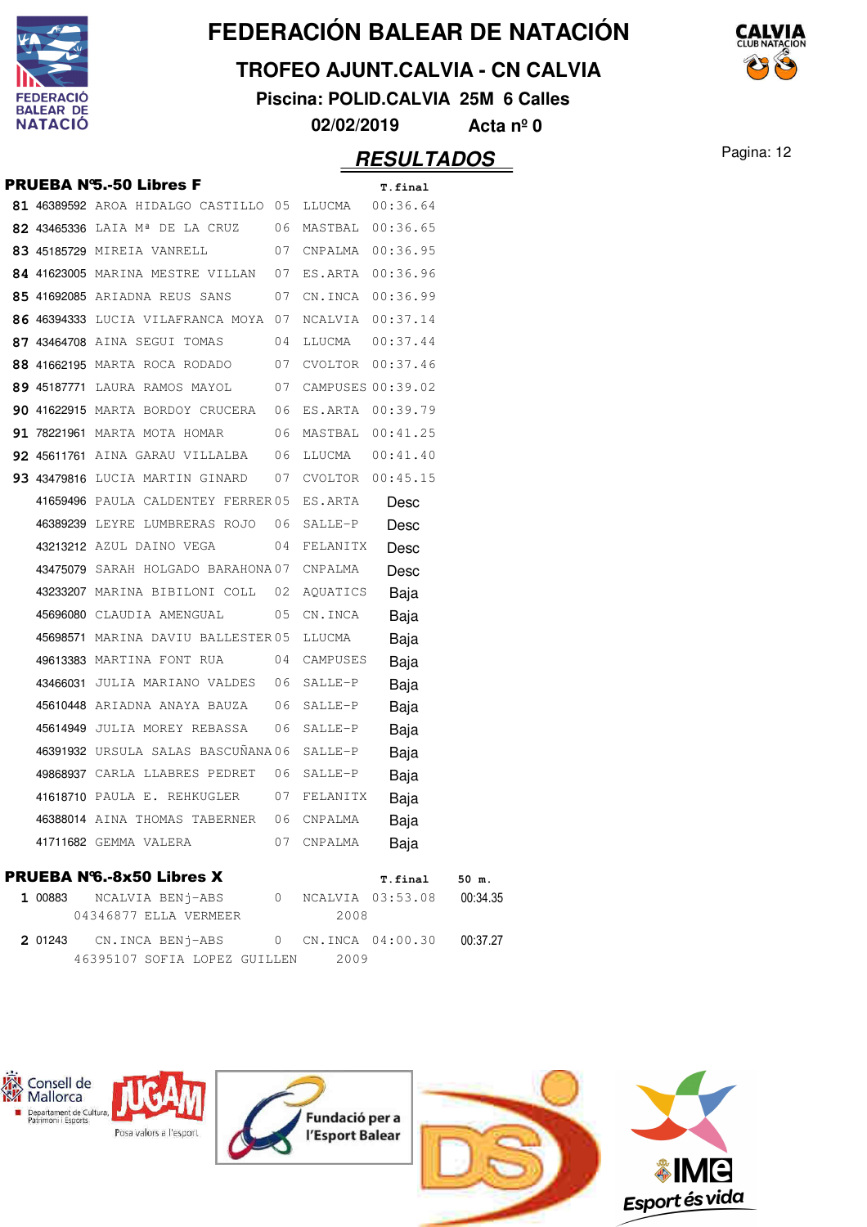

#### **TROFEO AJUNT.CALVIA - CN CALVIA**

**Piscina: POLID.CALVIA 25M 6 Calles**

**02/02/2019 Acta nº 0**

## Pagina: 12 **RESULTADOS**

|         | <b>PRUEBA N'S.-50 Libres F</b>                                 |                |                  | T.final                      |  |
|---------|----------------------------------------------------------------|----------------|------------------|------------------------------|--|
|         | 81 46389592 AROA HIDALGO CASTILLO 05 LLUCMA 00:36.64           |                |                  |                              |  |
|         | 82 43465336 LAIA M <sup>ª</sup> DE LA CRUZ 06 MASTBAL 00:36.65 |                |                  |                              |  |
|         | 83 45185729 MIREIA VANRELL 67 CNPALMA 00:36.95                 |                |                  |                              |  |
|         | 84 41623005 MARINA MESTRE VILLAN 07 ES.ARTA 00:36.96           |                |                  |                              |  |
|         | 85 41692085 ARIADNA REUS SANS 07                               |                |                  | CN.INCA 00:36.99             |  |
|         | 86 46394333 LUCIA VILAFRANCA MOYA 07                           |                | NCALVIA 00:37.14 |                              |  |
|         | 87 43464708 AINA SEGUI TOMAS 04                                |                | LLUCMA  00:37.44 |                              |  |
|         | 88 41662195 MARTA ROCA RODADO 07 CVOLTOR 00:37.46              |                |                  |                              |  |
|         | 89 45187771 LAURA RAMOS MAYOL 07 CAMPUSES 00:39.02             |                |                  |                              |  |
|         | 90 41622915 MARTA BORDOY CRUCERA 06 ES.ARTA 00:39.79           |                |                  |                              |  |
|         | 91 78221961 MARTA MOTA HOMAR 06 MASTBAL 00:41.25               |                |                  |                              |  |
|         | 92 45611761 AINA GARAU VILLALBA 06 LLUCMA 00:41.40             |                |                  |                              |  |
|         | 93 43479816 LUCIA MARTIN GINARD 07 CVOLTOR 00:45.15            |                |                  |                              |  |
|         | 41659496 PAULA CALDENTEY FERRER05 ES.ARTA                      |                |                  | Desc                         |  |
|         | 46389239 LEYRE LUMBRERAS ROJO 06 SALLE-P                       |                |                  | Desc                         |  |
|         | 43213212 AZUL DAINO VEGA 04 FELANITX                           |                |                  | Desc                         |  |
|         | 43475079 SARAH HOLGADO BARAHONA07 CNPALMA                      |                |                  | Desc                         |  |
|         | 43233207 MARINA BIBILONI COLL 02 AQUATICS                      |                |                  | Baja                         |  |
|         | 45696080 CLAUDIA AMENGUAL                                      |                | 05 CN.INCA       | Baja                         |  |
|         | 45698571 MARINA DAVIU BALLESTER05 LLUCMA                       |                |                  | Baja                         |  |
|         | 49613383 MARTINA FONT RUA 04 CAMPUSES                          |                |                  | Baja                         |  |
|         | 43466031 JULIA MARIANO VALDES 06 SALLE-P                       |                |                  | Baja                         |  |
|         | 45610448 ARIADNA ANAYA BAUZA 06                                |                | SALLE-P          | Baja                         |  |
|         | 45614949 JULIA MOREY REBASSA 06                                |                | SALLE-P          | Baja                         |  |
|         | 46391932 URSULA SALAS BASCUÑANA 06 SALLE-P                     |                |                  | Baja                         |  |
|         | 49868937 CARLA LLABRES PEDRET 06                               |                | SALLE-P          | Baja                         |  |
|         | 41618710 PAULA E. REHKUGLER 07 FELANITX                        |                |                  | Baja                         |  |
|         | 46388014 AINA THOMAS TABERNER                                  |                | 06 CNPALMA       | Baja                         |  |
|         | 41711682 GEMMA VALERA                                          |                | 07 CNPALMA       | Baja                         |  |
|         | <b>PRUEBA N'6.-8x50 Libres X</b>                               |                |                  | 50 m.<br>T.final             |  |
| 1 00883 | NCALVIA BENj-ABS                                               | $\overline{0}$ |                  | NCALVIA 03:53.08<br>00:34.35 |  |
|         | 04346877 ELLA VERMEER                                          |                | 2008             |                              |  |
| 2 01243 | CN.INCA BENj-ABS 0 CN.INCA 04:00.30                            |                |                  | 00:37.27                     |  |
|         | 46395107 SOFIA LOPEZ GUILLEN                                   |                | 2009             |                              |  |
|         |                                                                |                |                  |                              |  |